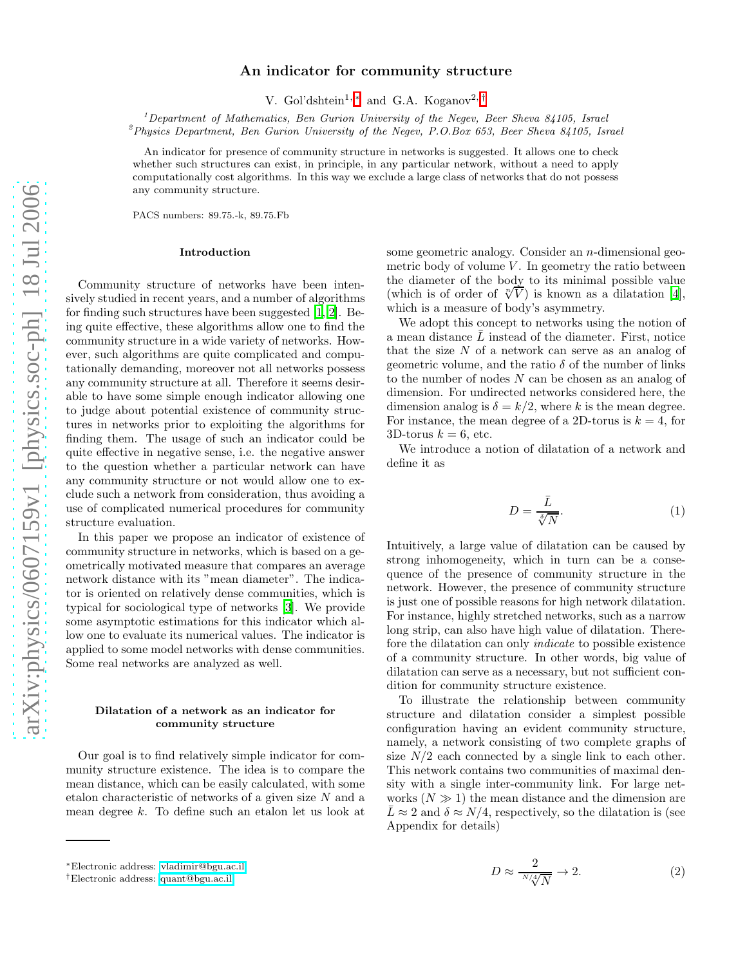# An indicator for community structure

V. Gol'dshtein<sup>1,[∗](#page-0-0)</sup> and G.A. Koganov<sup>2,[†](#page-0-1)</sup>

<sup>1</sup>Department of Mathematics, Ben Gurion University of the Negev, Beer Sheva 84105, Israel  $^{2}$ Physics Department, Ben Gurion University of the Negev, P.O.Box 653, Beer Sheva 84105, Israel

An indicator for presence of community structure in networks is suggested. It allows one to check whether such structures can exist, in principle, in any particular network, without a need to apply computationally cost algorithms. In this way we exclude a large class of networks that do not possess any community structure.

PACS numbers: 89.75.-k, 89.75.Fb

## Introduction

Community structure of networks have been intensively studied in recent years, and a number of algorithms for finding such structures have been suggested [\[1](#page-7-0), [2\]](#page-7-1). Being quite effective, these algorithms allow one to find the community structure in a wide variety of networks. However, such algorithms are quite complicated and computationally demanding, moreover not all networks possess any community structure at all. Therefore it seems desirable to have some simple enough indicator allowing one to judge about potential existence of community structures in networks prior to exploiting the algorithms for finding them. The usage of such an indicator could be quite effective in negative sense, i.e. the negative answer to the question whether a particular network can have any community structure or not would allow one to exclude such a network from consideration, thus avoiding a use of complicated numerical procedures for community structure evaluation.

In this paper we propose an indicator of existence of community structure in networks, which is based on a geometrically motivated measure that compares an average network distance with its "mean diameter". The indicator is oriented on relatively dense communities, which is typical for sociological type of networks [\[3\]](#page-7-2). We provide some asymptotic estimations for this indicator which allow one to evaluate its numerical values. The indicator is applied to some model networks with dense communities. Some real networks are analyzed as well.

## Dilatation of a network as an indicator for community structure

Our goal is to find relatively simple indicator for community structure existence. The idea is to compare the mean distance, which can be easily calculated, with some etalon characteristic of networks of a given size N and a mean degree k. To define such an etalon let us look at

some geometric analogy. Consider an n-dimensional geometric body of volume  $V$ . In geometry the ratio between the diameter of the body to its minimal possible value (which is of order of  $\sqrt[n]{V}$ ) is known as a dilatation [\[4\]](#page-7-3), which is a measure of body's asymmetry.

We adopt this concept to networks using the notion of a mean distance  $\bar{L}$  instead of the diameter. First, notice that the size  $N$  of a network can serve as an analog of geometric volume, and the ratio  $\delta$  of the number of links to the number of nodes N can be chosen as an analog of dimension. For undirected networks considered here, the dimension analog is  $\delta = k/2$ , where k is the mean degree. For instance, the mean degree of a 2D-torus is  $k = 4$ , for 3D-torus  $k = 6$ , etc.

<span id="page-0-2"></span>We introduce a notion of dilatation of a network and define it as

$$
D = \frac{\bar{L}}{\sqrt[3]{N}}.\tag{1}
$$

Intuitively, a large value of dilatation can be caused by strong inhomogeneity, which in turn can be a consequence of the presence of community structure in the network. However, the presence of community structure is just one of possible reasons for high network dilatation. For instance, highly stretched networks, such as a narrow long strip, can also have high value of dilatation. Therefore the dilatation can only indicate to possible existence of a community structure. In other words, big value of dilatation can serve as a necessary, but not sufficient condition for community structure existence.

To illustrate the relationship between community structure and dilatation consider a simplest possible configuration having an evident community structure, namely, a network consisting of two complete graphs of size  $N/2$  each connected by a single link to each other. This network contains two communities of maximal density with a single inter-community link. For large networks  $(N \gg 1)$  the mean distance and the dimension are  $\bar{L} \approx 2$  and  $\delta \approx N/4$ , respectively, so the dilatation is (see Appendix for details)

<span id="page-0-3"></span>
$$
D \approx \frac{2}{\sqrt[N/4]{N}} \to 2. \tag{2}
$$

<span id="page-0-0"></span><sup>∗</sup>Electronic address: [vladimir@bgu.ac.il](mailto:vladimir@bgu.ac.il)

<span id="page-0-1"></span><sup>†</sup>Electronic address: [quant@bgu.ac.il](mailto:quant@bgu.ac.il)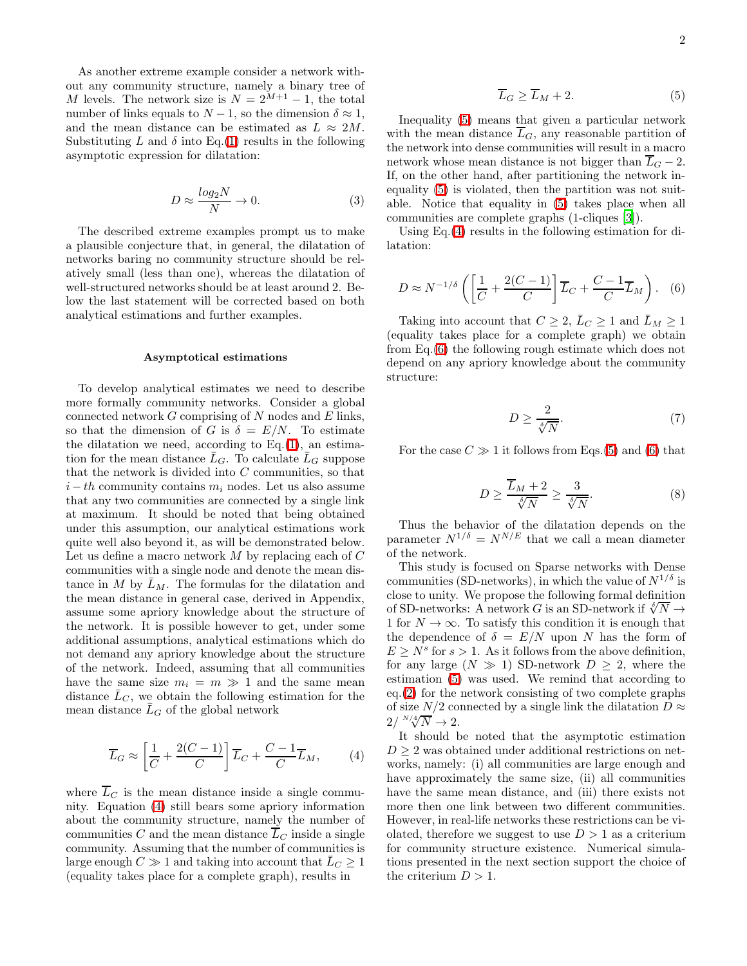As another extreme example consider a network without any community structure, namely a binary tree of M levels. The network size is  $N = 2^{M+1} - 1$ , the total number of links equals to  $N-1$ , so the dimension  $\delta \approx 1$ , and the mean distance can be estimated as  $L \approx 2M$ . Substituting L and  $\delta$  into Eq.[\(1\)](#page-0-2) results in the following asymptotic expression for dilatation:

$$
D \approx \frac{\log_2 N}{N} \to 0. \tag{3}
$$

The described extreme examples prompt us to make a plausible conjecture that, in general, the dilatation of networks baring no community structure should be relatively small (less than one), whereas the dilatation of well-structured networks should be at least around 2. Below the last statement will be corrected based on both analytical estimations and further examples.

#### Asymptotical estimations

To develop analytical estimates we need to describe more formally community networks. Consider a global connected network  $G$  comprising of  $N$  nodes and  $E$  links, so that the dimension of G is  $\delta = E/N$ . To estimate the dilatation we need, according to  $Eq.(1)$  $Eq.(1)$ , an estimation for the mean distance  $\bar{L}_G$ . To calculate  $\bar{L}_G$  suppose that the network is divided into  $C$  communities, so that  $i-th$  community contains  $m_i$  nodes. Let us also assume that any two communities are connected by a single link at maximum. It should be noted that being obtained under this assumption, our analytical estimations work quite well also beyond it, as will be demonstrated below. Let us define a macro network  $M$  by replacing each of  $C$ communities with a single node and denote the mean distance in M by  $\bar{L}_M$ . The formulas for the dilatation and the mean distance in general case, derived in Appendix, assume some apriory knowledge about the structure of the network. It is possible however to get, under some additional assumptions, analytical estimations which do not demand any apriory knowledge about the structure of the network. Indeed, assuming that all communities have the same size  $m_i = m \gg 1$  and the same mean distance  $\bar{L}_C$ , we obtain the following estimation for the mean distance  $\bar{L}_G$  of the global network

$$
\overline{L}_G \approx \left[\frac{1}{C} + \frac{2(C-1)}{C}\right] \overline{L}_C + \frac{C-1}{C} \overline{L}_M,\tag{4}
$$

<span id="page-1-0"></span>where  $\overline{L}_C$  is the mean distance inside a single community. Equation [\(4\)](#page-1-0) still bears some apriory information about the community structure, namely the number of communities C and the mean distance  $\overline{L}_C$  inside a single community. Assuming that the number of communities is large enough  $C \gg 1$  and taking into account that  $L_C \geq 1$ (equality takes place for a complete graph), results in

$$
\overline{L}_G \ge \overline{L}_M + 2. \tag{5}
$$

<span id="page-1-1"></span>Inequality [\(5\)](#page-1-1) means that given a particular network with the mean distance  $\overline{L}_G$ , any reasonable partition of the network into dense communities will result in a macro network whose mean distance is not bigger than  $\overline{L}_G - 2$ . If, on the other hand, after partitioning the network inequality [\(5\)](#page-1-1) is violated, then the partition was not suitable. Notice that equality in [\(5\)](#page-1-1) takes place when all communities are complete graphs (1-cliques [\[3](#page-7-2)]).

<span id="page-1-2"></span>Using Eq.[\(4\)](#page-1-0) results in the following estimation for dilatation:

$$
D \approx N^{-1/\delta} \left( \left[ \frac{1}{C} + \frac{2(C-1)}{C} \right] \overline{L}_C + \frac{C-1}{C} \overline{L}_M \right). \tag{6}
$$

Taking into account that  $C \geq 2$ ,  $\bar{L}_C \geq 1$  and  $\bar{L}_M \geq 1$ (equality takes place for a complete graph) we obtain from Eq.[\(6\)](#page-1-2) the following rough estimate which does not depend on any apriory knowledge about the community structure:

$$
D \ge \frac{2}{\sqrt[5]{N}}.\tag{7}
$$

<span id="page-1-3"></span>For the case  $C \gg 1$  it follows from Eqs.[\(5\)](#page-1-1) and [\(6\)](#page-1-2) that

$$
D \ge \frac{\overline{L}_M + 2}{\sqrt[5]{N}} \ge \frac{3}{\sqrt[5]{N}}.\tag{8}
$$

Thus the behavior of the dilatation depends on the parameter  $N^{1/\delta} = N^{N/E}$  that we call a mean diameter of the network.

This study is focused on Sparse networks with Dense communities (SD-networks), in which the value of  $N^{1/\delta}$  is close to unity. We propose the following formal definition of SD-networks: A network G is an SD-network if  $\sqrt[\delta]{N} \rightarrow$ 1 for  $N \to \infty$ . To satisfy this condition it is enough that the dependence of  $\delta = E/N$  upon N has the form of  $E \geq N^s$  for  $s > 1$ . As it follows from the above definition, for any large  $(N \gg 1)$  SD-network  $D \geq 2$ , where the estimation [\(5\)](#page-1-1) was used. We remind that according to eq.[\(2\)](#page-0-3) for the network consisting of two complete graphs of size  $N/2$  connected by a single link the dilatation  $D \approx$  $2/\sqrt[N/4]{N} \rightarrow 2.$ 

It should be noted that the asymptotic estimation  $D \geq 2$  was obtained under additional restrictions on networks, namely: (i) all communities are large enough and have approximately the same size, (ii) all communities have the same mean distance, and (iii) there exists not more then one link between two different communities. However, in real-life networks these restrictions can be violated, therefore we suggest to use  $D > 1$  as a criterium for community structure existence. Numerical simulations presented in the next section support the choice of the criterium  $D > 1$ .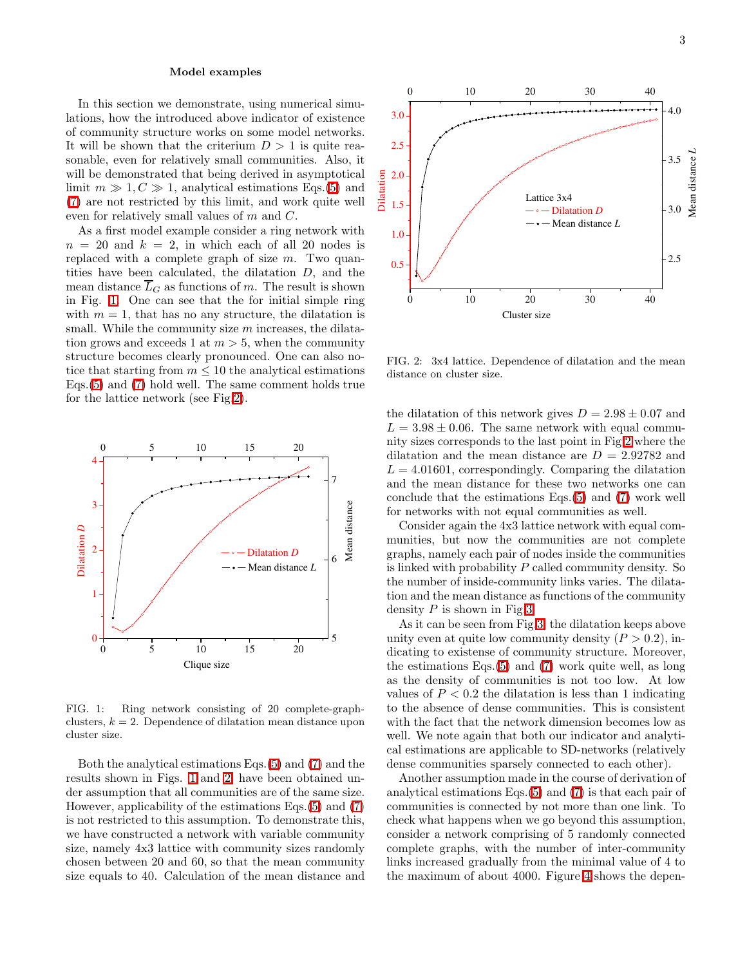#### Model examples

In this section we demonstrate, using numerical simulations, how the introduced above indicator of existence of community structure works on some model networks. It will be shown that the criterium  $D > 1$  is quite reasonable, even for relatively small communities. Also, it will be demonstrated that being derived in asymptotical limit  $m \gg 1, C \gg 1$ , analytical estimations Eqs.[\(5\)](#page-1-1) and [\(7\)](#page-1-3) are not restricted by this limit, and work quite well even for relatively small values of m and C.

As a first model example consider a ring network with  $n = 20$  and  $k = 2$ , in which each of all 20 nodes is replaced with a complete graph of size  $m$ . Two quantities have been calculated, the dilatation D, and the mean distance  $\overline{L}_G$  as functions of m. The result is shown in Fig. [1.](#page-2-0) One can see that the for initial simple ring with  $m = 1$ , that has no any structure, the dilatation is small. While the community size  $m$  increases, the dilatation grows and exceeds 1 at  $m > 5$ , when the community structure becomes clearly pronounced. One can also notice that starting from  $m \leq 10$  the analytical estimations Eqs.[\(5\)](#page-1-1) and [\(7\)](#page-1-3) hold well. The same comment holds true for the lattice network (see Fig[.2\)](#page-2-1).



<span id="page-2-0"></span>FIG. 1: Ring network consisting of 20 complete-graphclusters,  $k = 2$ . Dependence of dilatation mean distance upon cluster size.

Both the analytical estimations Eqs.[\(5\)](#page-1-1) and [\(7\)](#page-1-3) and the results shown in Figs. [1](#page-2-0) and [2,](#page-2-1) have been obtained under assumption that all communities are of the same size. However, applicability of the estimations Eqs.[\(5\)](#page-1-1) and [\(7\)](#page-1-3) is not restricted to this assumption. To demonstrate this, we have constructed a network with variable community size, namely 4x3 lattice with community sizes randomly chosen between 20 and 60, so that the mean community size equals to 40. Calculation of the mean distance and



<span id="page-2-1"></span>FIG. 2: 3x4 lattice. Dependence of dilatation and the mean distance on cluster size.

the dilatation of this network gives  $D = 2.98 \pm 0.07$  and  $L = 3.98 \pm 0.06$ . The same network with equal community sizes corresponds to the last point in Fig[.2](#page-2-1) where the dilatation and the mean distance are  $D = 2.92782$  and  $L = 4.01601$ , correspondingly. Comparing the dilatation and the mean distance for these two networks one can conclude that the estimations Eqs.[\(5\)](#page-1-1) and [\(7\)](#page-1-3) work well for networks with not equal communities as well.

Consider again the 4x3 lattice network with equal communities, but now the communities are not complete graphs, namely each pair of nodes inside the communities is linked with probability P called community density. So the number of inside-community links varies. The dilatation and the mean distance as functions of the community density  $P$  is shown in Fig[.3.](#page-3-0)

As it can be seen from Fig[.3,](#page-3-0) the dilatation keeps above unity even at quite low community density  $(P > 0.2)$ , indicating to existense of community structure. Moreover, the estimations Eqs.[\(5\)](#page-1-1) and [\(7\)](#page-1-3) work quite well, as long as the density of communities is not too low. At low values of  $P < 0.2$  the dilatation is less than 1 indicating to the absence of dense communities. This is consistent with the fact that the network dimension becomes low as well. We note again that both our indicator and analytical estimations are applicable to SD-networks (relatively dense communities sparsely connected to each other).

Another assumption made in the course of derivation of analytical estimations Eqs.[\(5\)](#page-1-1) and [\(7\)](#page-1-3) is that each pair of communities is connected by not more than one link. To check what happens when we go beyond this assumption, consider a network comprising of 5 randomly connected complete graphs, with the number of inter-community links increased gradually from the minimal value of 4 to the maximum of about 4000. Figure [4](#page-3-1) shows the depen-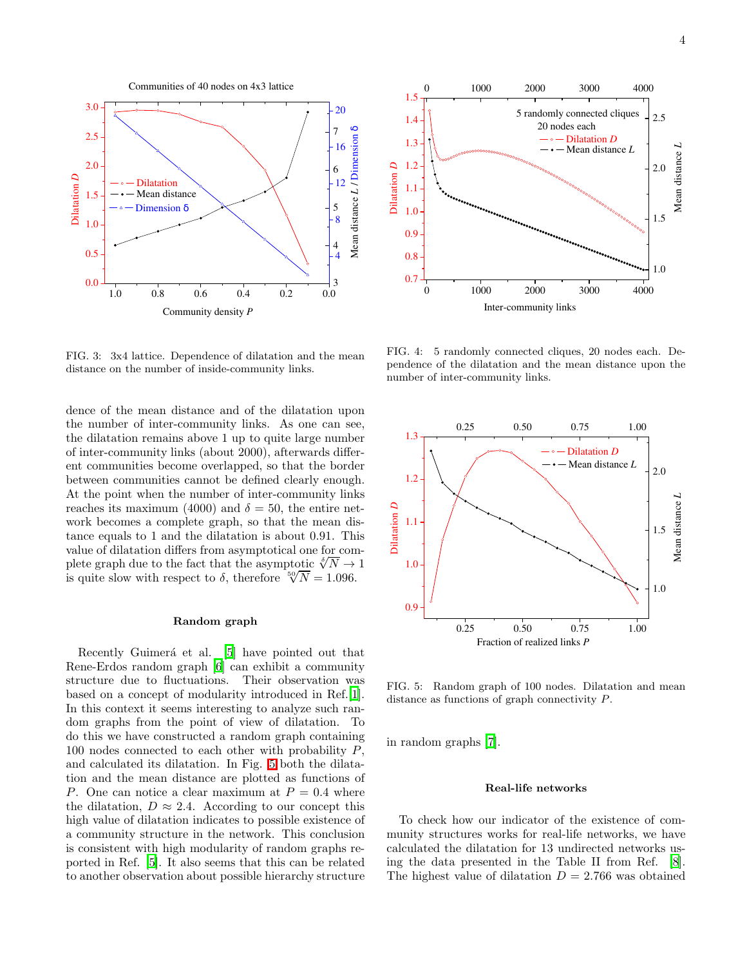

<span id="page-3-0"></span>FIG. 3: 3x4 lattice. Dependence of dilatation and the mean distance on the number of inside-community links.

dence of the mean distance and of the dilatation upon the number of inter-community links. As one can see, the dilatation remains above 1 up to quite large number of inter-community links (about 2000), afterwards different communities become overlapped, so that the border between communities cannot be defined clearly enough. At the point when the number of inter-community links reaches its maximum (4000) and  $\delta = 50$ , the entire network becomes a complete graph, so that the mean distance equals to 1 and the dilatation is about 0.91. This value of dilatation differs from asymptotical one for complete graph due to the fact that the asymptotic  $\sqrt[5]{N} \rightarrow 1$ is quite slow with respect to  $\delta$ , therefore  $\sqrt[5]{N} = 1.096$ .

## Random graph

Recently Guimerá et al. [\[5](#page-7-4)] have pointed out that Rene-Erdos random graph [\[6\]](#page-7-5) can exhibit a community structure due to fluctuations. Their observation was based on a concept of modularity introduced in Ref.[\[1\]](#page-7-0). In this context it seems interesting to analyze such random graphs from the point of view of dilatation. To do this we have constructed a random graph containing 100 nodes connected to each other with probability  $P$ , and calculated its dilatation. In Fig. [5](#page-3-2) both the dilatation and the mean distance are plotted as functions of P. One can notice a clear maximum at  $P = 0.4$  where the dilatation,  $D \approx 2.4$ . According to our concept this high value of dilatation indicates to possible existence of a community structure in the network. This conclusion is consistent with high modularity of random graphs reported in Ref. [\[5](#page-7-4)]. It also seems that this can be related to another observation about possible hierarchy structure



<span id="page-3-1"></span>FIG. 4: 5 randomly connected cliques, 20 nodes each. Dependence of the dilatation and the mean distance upon the number of inter-community links.



<span id="page-3-2"></span>FIG. 5: Random graph of 100 nodes. Dilatation and mean distance as functions of graph connectivity P.

in random graphs [\[7](#page-7-6)].

## Real-life networks

To check how our indicator of the existence of community structures works for real-life networks, we have calculated the dilatation for 13 undirected networks using the data presented in the Table II from Ref. [\[8\]](#page-7-7). The highest value of dilatation  $D = 2.766$  was obtained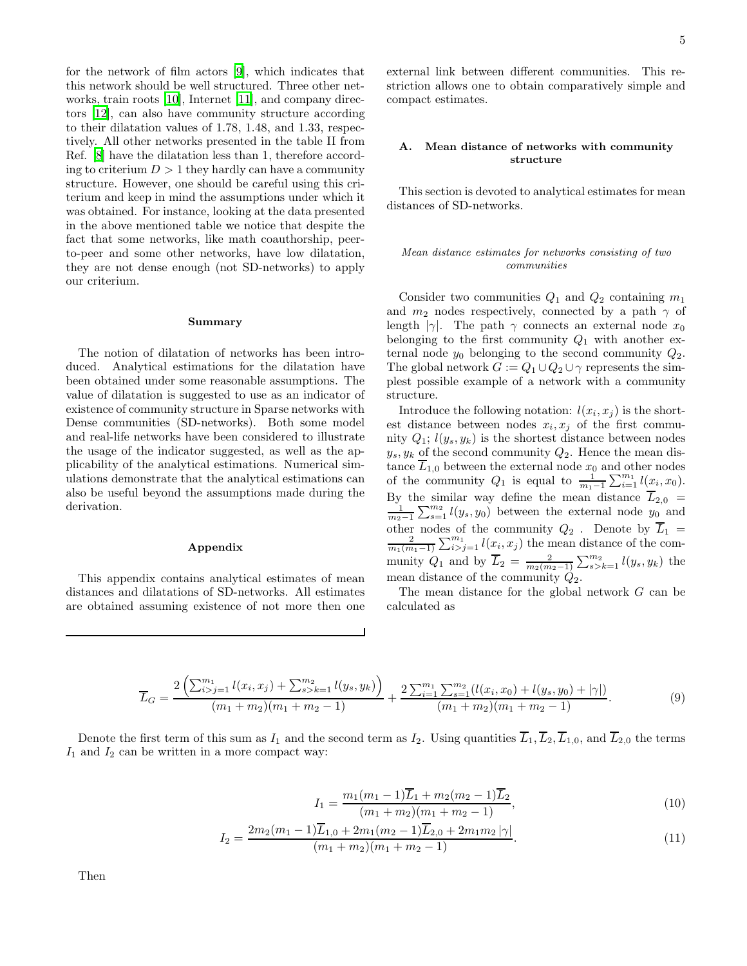for the network of film actors [\[9\]](#page-7-8), which indicates that this network should be well structured. Three other networks, train roots [\[10\]](#page-7-9), Internet [\[11\]](#page-7-10), and company directors [\[12\]](#page-7-11), can also have community structure according to their dilatation values of 1.78, 1.48, and 1.33, respectively. All other networks presented in the table II from Ref. [\[8\]](#page-7-7) have the dilatation less than 1, therefore according to criterium  $D > 1$  they hardly can have a community structure. However, one should be careful using this criterium and keep in mind the assumptions under which it was obtained. For instance, looking at the data presented in the above mentioned table we notice that despite the fact that some networks, like math coauthorship, peerto-peer and some other networks, have low dilatation, they are not dense enough (not SD-networks) to apply our criterium.

#### Summary

The notion of dilatation of networks has been introduced. Analytical estimations for the dilatation have been obtained under some reasonable assumptions. The value of dilatation is suggested to use as an indicator of existence of community structure in Sparse networks with Dense communities (SD-networks). Both some model and real-life networks have been considered to illustrate the usage of the indicator suggested, as well as the applicability of the analytical estimations. Numerical simulations demonstrate that the analytical estimations can also be useful beyond the assumptions made during the derivation.

## Appendix

This appendix contains analytical estimates of mean distances and dilatations of SD-networks. All estimates are obtained assuming existence of not more then one external link between different communities. This restriction allows one to obtain comparatively simple and compact estimates.

# A. Mean distance of networks with community structure

This section is devoted to analytical estimates for mean distances of SD-networks.

# Mean distance estimates for networks consisting of two communities

Consider two communities  $Q_1$  and  $Q_2$  containing  $m_1$ and  $m_2$  nodes respectively, connected by a path  $\gamma$  of length |γ|. The path γ connects an external node  $x_0$ belonging to the first community  $Q_1$  with another external node  $y_0$  belonging to the second community  $Q_2$ . The global network  $G := Q_1 \cup Q_2 \cup \gamma$  represents the simplest possible example of a network with a community structure.

Introduce the following notation:  $l(x_i, x_j)$  is the shortest distance between nodes  $x_i, x_j$  of the first community  $Q_1$ ;  $l(y_s, y_k)$  is the shortest distance between nodes  $y_s, y_k$  of the second community  $Q_2$ . Hence the mean distance  $L_{1,0}$  between the external node  $x_0$  and other nodes of the community  $Q_1$  is equal to  $\frac{1}{m_1-1}\sum_{i=1}^{m_1}l(x_i,x_0)$ . By the similar way define the mean distance  $\overline{L}_{2,0}$  =  $\frac{1}{m_2-1}\sum_{s=1}^{m_2} l(y_s,y_0)$  between the external node  $y_0$  and other nodes of the community  $Q_2$ . Denote by  $L_1 = \frac{2}{m_1(m_1-1)} \sum_{i>j=1}^{m_1} l(x_i, x_j)$  the mean distance of the community  $Q_1$  and by  $\overline{L}_2 = \frac{2}{m_2(m_2-1)} \sum_{s>k=1}^{m_2} l(y_s, y_k)$  the mean distance of the community  $\dot{Q}_2$ .

The mean distance for the global network G can be calculated as

$$
\overline{L}_G = \frac{2\left(\sum_{i>j=1}^{m_1} l(x_i, x_j) + \sum_{s>k=1}^{m_2} l(y_s, y_k)\right)}{(m_1 + m_2)(m_1 + m_2 - 1)} + \frac{2\sum_{i=1}^{m_1} \sum_{s=1}^{m_2} (l(x_i, x_0) + l(y_s, y_0) + |\gamma|)}{(m_1 + m_2)(m_1 + m_2 - 1)}.
$$
\n(9)

Denote the first term of this sum as  $I_1$  and the second term as  $I_2$ . Using quantities  $\overline{L}_1$ ,  $\overline{L}_2$ ,  $\overline{L}_{1,0}$ , and  $\overline{L}_{2,0}$  the terms  $I_1$  and  $I_2$  can be written in a more compact way:

$$
I_1 = \frac{m_1(m_1 - 1)\overline{L}_1 + m_2(m_2 - 1)\overline{L}_2}{(m_1 + m_2)(m_1 + m_2 - 1)},
$$
\n(10)

$$
I_2 = \frac{2m_2(m_1 - 1)\overline{L}_{1,0} + 2m_1(m_2 - 1)\overline{L}_{2,0} + 2m_1m_2|\gamma|}{(m_1 + m_2)(m_1 + m_2 - 1)}.
$$
\n(11)

Then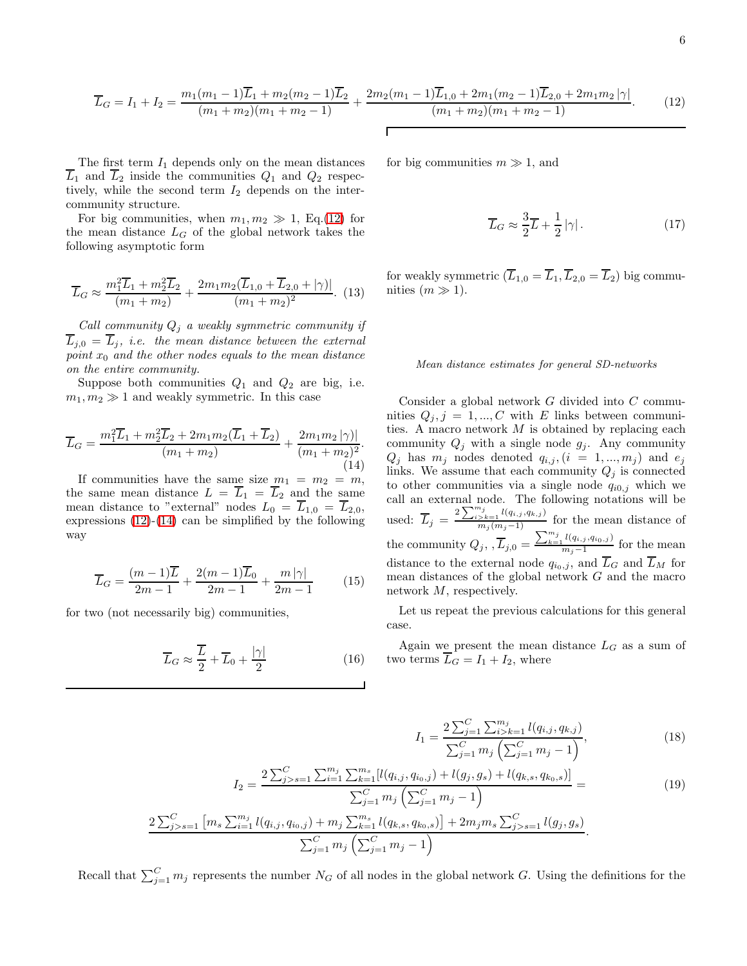<span id="page-5-0"></span>
$$
\overline{L}_G = I_1 + I_2 = \frac{m_1(m_1 - 1)\overline{L}_1 + m_2(m_2 - 1)\overline{L}_2}{(m_1 + m_2)(m_1 + m_2 - 1)} + \frac{2m_2(m_1 - 1)\overline{L}_{1,0} + 2m_1(m_2 - 1)\overline{L}_{2,0} + 2m_1m_2|\gamma|}{(m_1 + m_2)(m_1 + m_2 - 1)}.
$$
(12)

The first term  $I_1$  depends only on the mean distances  $\overline{L}_1$  and  $\overline{L}_2$  inside the communities  $Q_1$  and  $Q_2$  respectively, while the second term  $I_2$  depends on the intercommunity structure.

For big communities, when  $m_1, m_2 \gg 1$ , Eq.[\(12\)](#page-5-0) for the mean distance  $L_G$  of the global network takes the following asymptotic form

$$
\overline{L}_G \approx \frac{m_1^2 \overline{L}_1 + m_2^2 \overline{L}_2}{(m_1 + m_2)} + \frac{2m_1 m_2 (\overline{L}_{1,0} + \overline{L}_{2,0} + |\gamma)|}{(m_1 + m_2)^2}.
$$
 (13)

Call community  $Q_j$  a weakly symmetric community if  $\overline{L}_{j,0} = \overline{L}_j$ , i.e. the mean distance between the external point  $x_0$  and the other nodes equals to the mean distance on the entire community.

Suppose both communities  $Q_1$  and  $Q_2$  are big, i.e.  $m_1, m_2 \gg 1$  and weakly symmetric. In this case

<span id="page-5-1"></span>
$$
\overline{L}_G = \frac{m_1^2 \overline{L}_1 + m_2^2 \overline{L}_2 + 2m_1 m_2 (\overline{L}_1 + \overline{L}_2)}{(m_1 + m_2)} + \frac{2m_1 m_2 |\gamma|}{(m_1 + m_2)^2}.
$$
\n(14)

If communities have the same size  $m_1 = m_2 = m$ , the same mean distance  $L = \overline{L}_1 = \overline{L}_2$  and the same mean distance to "external" nodes  $L_0 = \overline{L}_{1,0} = \overline{L}_{2,0}$ , expressions  $(12)-(14)$  $(12)-(14)$  can be simplified by the following way

$$
\overline{L}_G = \frac{(m-1)\overline{L}}{2m-1} + \frac{2(m-1)\overline{L}_0}{2m-1} + \frac{m|\gamma|}{2m-1}
$$
 (15)

for two (not necessarily big) communities,

$$
\overline{L}_G \approx \frac{\overline{L}}{2} + \overline{L}_0 + \frac{|\gamma|}{2} \tag{16}
$$

for big communities  $m \gg 1$ , and

$$
\overline{L}_G \approx \frac{3}{2}\overline{L} + \frac{1}{2} |\gamma| \,. \tag{17}
$$

for weakly symmetric  $(\overline{L}_{1,0} = \overline{L}_1, \overline{L}_{2,0} = \overline{L}_2)$  big communities  $(m \gg 1)$ .

## Mean distance estimates for general SD-networks

Consider a global network G divided into C communities  $Q_j, j = 1, ..., C$  with E links between communities. A macro network  $M$  is obtained by replacing each community  $Q_j$  with a single node  $g_j$ . Any community  $Q_j$  has  $m_j$  nodes denoted  $q_{i,j}$ ,  $(i = 1, ..., m_j)$  and  $e_j$ links. We assume that each community  $Q_j$  is connected to other communities via a single node  $q_{i0,j}$  which we call an external node. The following notations will be used:  $\overline{L}_j = \frac{2 \sum_{i>k=1}^{m_j} l(q_{i,j},q_{k,j})}{m_j(m_j-1)}$  for the mean distance of the community  $Q_j, \overline{L}_{j,0} = \frac{\sum_{k=1}^{m_j} l(q_{i,j}, q_{i_0,j})}{m_j-1}$  $\frac{\Gamma(\{q_i, j, q_i\})}{m_j-1}$  for the mean distance to the external node  $q_{i_0,j}$ , and  $\overline{L}_G$  and  $\overline{L}_M$  for mean distances of the global network  $G$  and the macro network M, respectively.

Let us repeat the previous calculations for this general case.

Again we present the mean distance  $L_G$  as a sum of two terms  $L_G = I_1 + I_2$ , where

$$
I_1 = \frac{2\sum_{j=1}^{C} \sum_{i>k=1}^{m_j} l(q_{i,j}, q_{k,j})}{\sum_{j=1}^{C} m_j \left(\sum_{j=1}^{C} m_j - 1\right)},
$$
\n(18)

$$
I_2 = \frac{2\sum_{j>s=1}^{C} \sum_{i=1}^{m_j} \sum_{k=1}^{m_s} [l(q_{i,j}, q_{i_0,j}) + l(g_j, g_s) + l(q_{k,s}, q_{k_0,s})]}{\sum_{j=1}^{C} m_j \left(\sum_{j=1}^{C} m_j - 1\right)} = \tag{19}
$$

$$
\frac{2\sum_{j>s=1}^{C} [m_s \sum_{i=1}^{m_j} l(q_{i,j}, q_{i_0,j}) + m_j \sum_{k=1}^{m_s} l(q_{k,s}, q_{k_0,s})] + 2m_j m_s \sum_{j>s=1}^{C} l(g_j, g_s)}{\sum_{j=1}^{C} m_j \left( \sum_{j=1}^{C} m_j - 1 \right)}.
$$

Recall that  $\sum_{j=1}^{C} m_j$  represents the number  $N_G$  of all nodes in the global network G. Using the definitions for the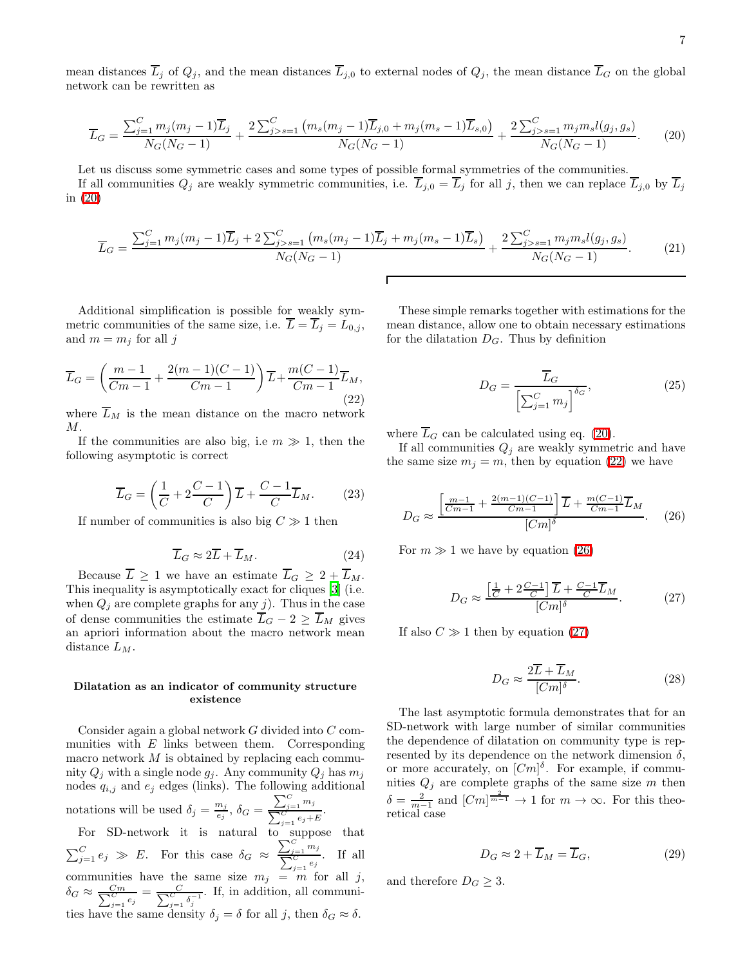<span id="page-6-0"></span>mean distances  $\overline{L}_j$  of  $Q_j$ , and the mean distances  $\overline{L}_{j,0}$  to external nodes of  $Q_j$ , the mean distance  $\overline{L}_G$  on the global network can be rewritten as

$$
\overline{L}_G = \frac{\sum_{j=1}^C m_j (m_j - 1) \overline{L}_j}{N_G (N_G - 1)} + \frac{2 \sum_{j>s=1}^C (m_s (m_j - 1) \overline{L}_{j,0} + m_j (m_s - 1) \overline{L}_{s,0})}{N_G (N_G - 1)} + \frac{2 \sum_{j>s=1}^C m_j m_s l(g_j, g_s)}{N_G (N_G - 1)}.
$$
(20)

Let us discuss some symmetric cases and some types of possible formal symmetries of the communities. If all communities  $Q_j$  are weakly symmetric communities, i.e.  $\overline{L}_{j,0} = \overline{L}_j$  for all j, then we can replace  $\overline{L}_{j,0}$  by  $\overline{L}_j$ in [\(20\)](#page-6-0)

$$
\overline{L}_G = \frac{\sum_{j=1}^C m_j (m_j - 1) \overline{L}_j + 2 \sum_{j>s=1}^C (m_s (m_j - 1) \overline{L}_j + m_j (m_s - 1) \overline{L}_s)}{N_G (N_G - 1)} + \frac{2 \sum_{j>s=1}^C m_j m_s l(g_j, g_s)}{N_G (N_G - 1)}.
$$
(21)

Additional simplification is possible for weakly symmetric communities of the same size, i.e.  $L = L_j = L_{0,j}$ , and  $m = m_j$  for all j

<span id="page-6-1"></span>
$$
\overline{L}_G = \left(\frac{m-1}{Cm-1} + \frac{2(m-1)(C-1)}{Cm-1}\right)\overline{L} + \frac{m(C-1)}{Cm-1}\overline{L}_M,
$$
\n(22)

where  $L_M$  is the mean distance on the macro network  $M$ .

If the communities are also big, i.e  $m \gg 1$ , then the following asymptotic is correct

$$
\overline{L}_G = \left(\frac{1}{C} + 2\frac{C-1}{C}\right)\overline{L} + \frac{C-1}{C}\overline{L}_M. \tag{23}
$$

If number of communities is also big  $C \gg 1$  then

$$
\overline{L}_G \approx 2\overline{L} + \overline{L}_M. \tag{24}
$$

Because  $\overline{L} \geq 1$  we have an estimate  $\overline{L}_G \geq 2 + \overline{L}_M$ . This inequality is asymptotically exact for cliques [\[3](#page-7-2)] (i.e. when  $Q_j$  are complete graphs for any j). Thus in the case of dense communities the estimate  $\overline{L}_G - 2 \ge \overline{L}_M$  gives an apriori information about the macro network mean distance  $L_M$ .

### Dilatation as an indicator of community structure existence

Consider again a global network G divided into C communities with  $E$  links between them. Corresponding macro network  $M$  is obtained by replacing each community  $Q_j$  with a single node  $g_j$ . Any community  $Q_j$  has  $m_j$ nodes  $q_{i,j}$  and  $e_j$  edges (links). The following additional notations will be used  $\delta_j = \frac{m_j}{e_j}$  $\frac{m_j}{e_j}, \delta_G = \frac{\sum_{j=1}^C m_j}{\sum_{j=1}^C m_j}$  $\frac{\sum_{j=1}^{j=1} g_j}{\sum_{j=1}^{C} e_j + E}.$ For SD-network it is natural to suppose that  $\sum_{j=1}^{C} m_j$ 

 $\sum_{j=1}^{C} e_j \gg E$ . For this case  $\delta_G \approx$  $\frac{\sum_{j=1}^{j-1} s_j}{\sum_{j=1}^{C} e_j}$ . If all communities have the same size  $m_j = m$  for all j,  $\delta_G \approx \frac{Cm}{\sum_{j=1}^C e_j} = \frac{C}{\sum_{j=1}^C \delta_j^{-1}}$ . If, in addition, all communities have the same density  $\delta_j = \delta$  for all j, then  $\delta_G \approx \delta$ .

These simple remarks together with estimations for the mean distance, allow one to obtain necessary estimations for the dilatation  $D_G$ . Thus by definition

$$
D_G = \frac{\overline{L}_G}{\left[\sum_{j=1}^C m_j\right]^{\delta_G}},\tag{25}
$$

where  $\overline{L}_G$  can be calculated using eq. [\(20\)](#page-6-0).

If all communities  $Q_j$  are weakly symmetric and have the same size  $m_j = m$ , then by equation [\(22\)](#page-6-1) we have

<span id="page-6-2"></span>
$$
D_G \approx \frac{\left[\frac{m-1}{Cm-1} + \frac{2(m-1)(C-1)}{Cm-1}\right]\overline{L} + \frac{m(C-1)}{Cm-1}\overline{L}_M}{[Cm]^{\delta}}.
$$
 (26)

<span id="page-6-3"></span>For  $m \gg 1$  we have by equation [\(26\)](#page-6-2)

$$
D_G \approx \frac{\left[\frac{1}{C} + 2\frac{C-1}{C}\right]\overline{L} + \frac{C-1}{C}\overline{L}_M}{[Cm]^{\delta}}.\tag{27}
$$

If also  $C \gg 1$  then by equation [\(27\)](#page-6-3)

$$
D_G \approx \frac{2\overline{L} + \overline{L}_M}{[Cm]^{\delta}}.
$$
\n(28)

The last asymptotic formula demonstrates that for an SD-network with large number of similar communities the dependence of dilatation on community type is represented by its dependence on the network dimension  $\delta$ , or more accurately, on  $[Cm]^{\delta}$ . For example, if communities  $Q_j$  are complete graphs of the same size m then  $\delta = \frac{2}{m-1}$  and  $[Cm]^{\frac{2}{m-1}} \to 1$  for  $m \to \infty$ . For this theoretical case

$$
D_G \approx 2 + \overline{L}_M = \overline{L}_G,\tag{29}
$$

and therefore  $D_G \geq 3$ .